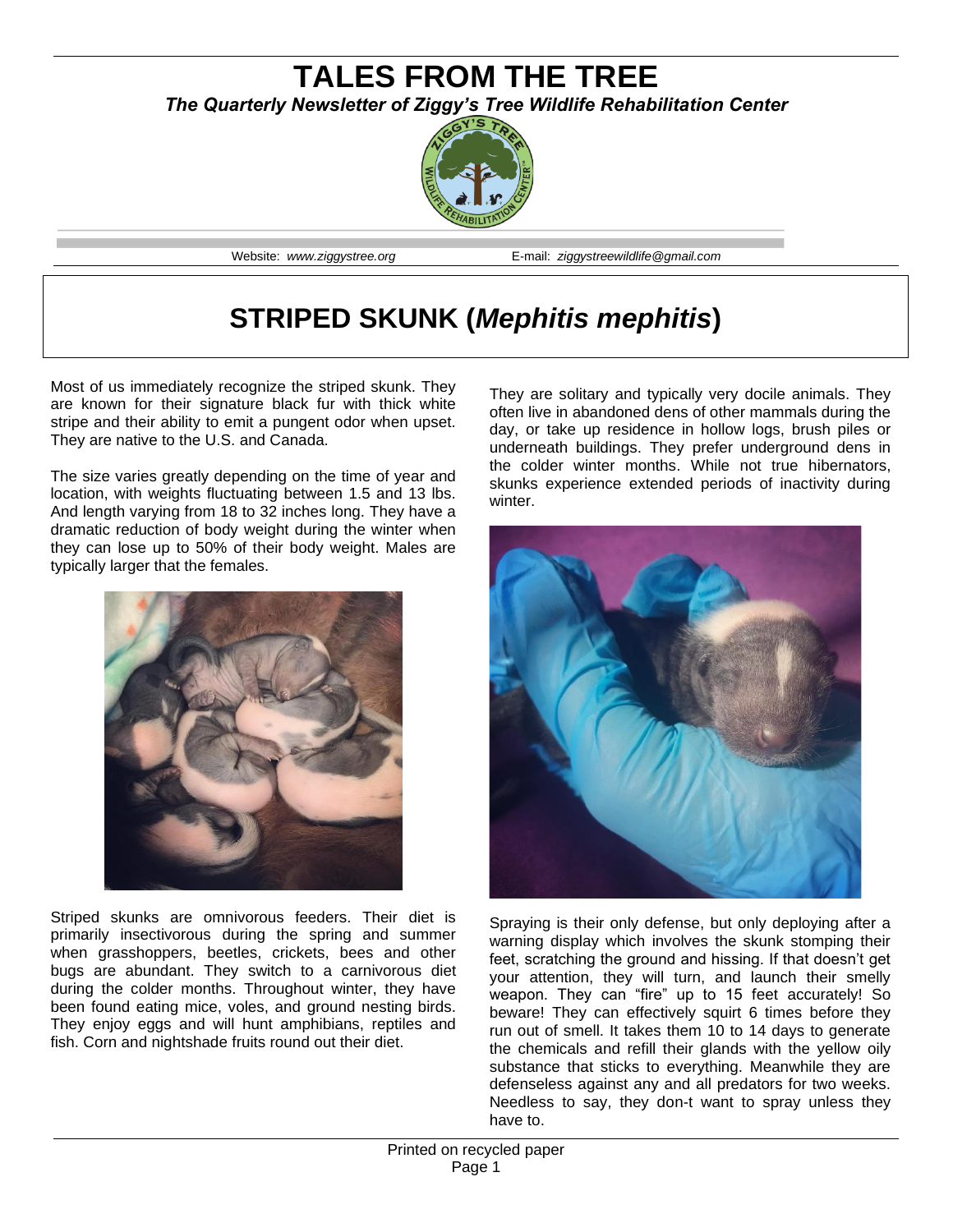# **TALES FROM THE TREE** *The Quarterly Newsletter of Ziggy's Tree Wildlife Rehabilitation Center*



Website: *www.ziggystree.org* E-mail: *ziggystreewildlife@gmail.com*

# **STRIPED SKUNK (***Mephitis mephitis***)**

Most of us immediately recognize the striped skunk. They are known for their signature black fur with thick white stripe and their ability to emit a pungent odor when upset. They are native to the U.S. and Canada.

The size varies greatly depending on the time of year and location, with weights fluctuating between 1.5 and 13 lbs. And length varying from 18 to 32 inches long. They have a dramatic reduction of body weight during the winter when they can lose up to 50% of their body weight. Males are typically larger that the females.



Striped skunks are omnivorous feeders. Their diet is primarily insectivorous during the spring and summer when grasshoppers, beetles, crickets, bees and other bugs are abundant. They switch to a carnivorous diet during the colder months. Throughout winter, they have been found eating mice, voles, and ground nesting birds. They enjoy eggs and will hunt amphibians, reptiles and fish. Corn and nightshade fruits round out their diet.

They are solitary and typically very docile animals. They often live in abandoned dens of other mammals during the day, or take up residence in hollow logs, brush piles or underneath buildings. They prefer underground dens in the colder winter months. While not true hibernators, skunks experience extended periods of inactivity during winter.



Spraying is their only defense, but only deploying after a warning display which involves the skunk stomping their feet, scratching the ground and hissing. If that doesn't get your attention, they will turn, and launch their smelly weapon. They can "fire" up to 15 feet accurately! So beware! They can effectively squirt 6 times before they run out of smell. It takes them 10 to 14 days to generate the chemicals and refill their glands with the yellow oily substance that sticks to everything. Meanwhile they are defenseless against any and all predators for two weeks. Needless to say, they don-t want to spray unless they have to.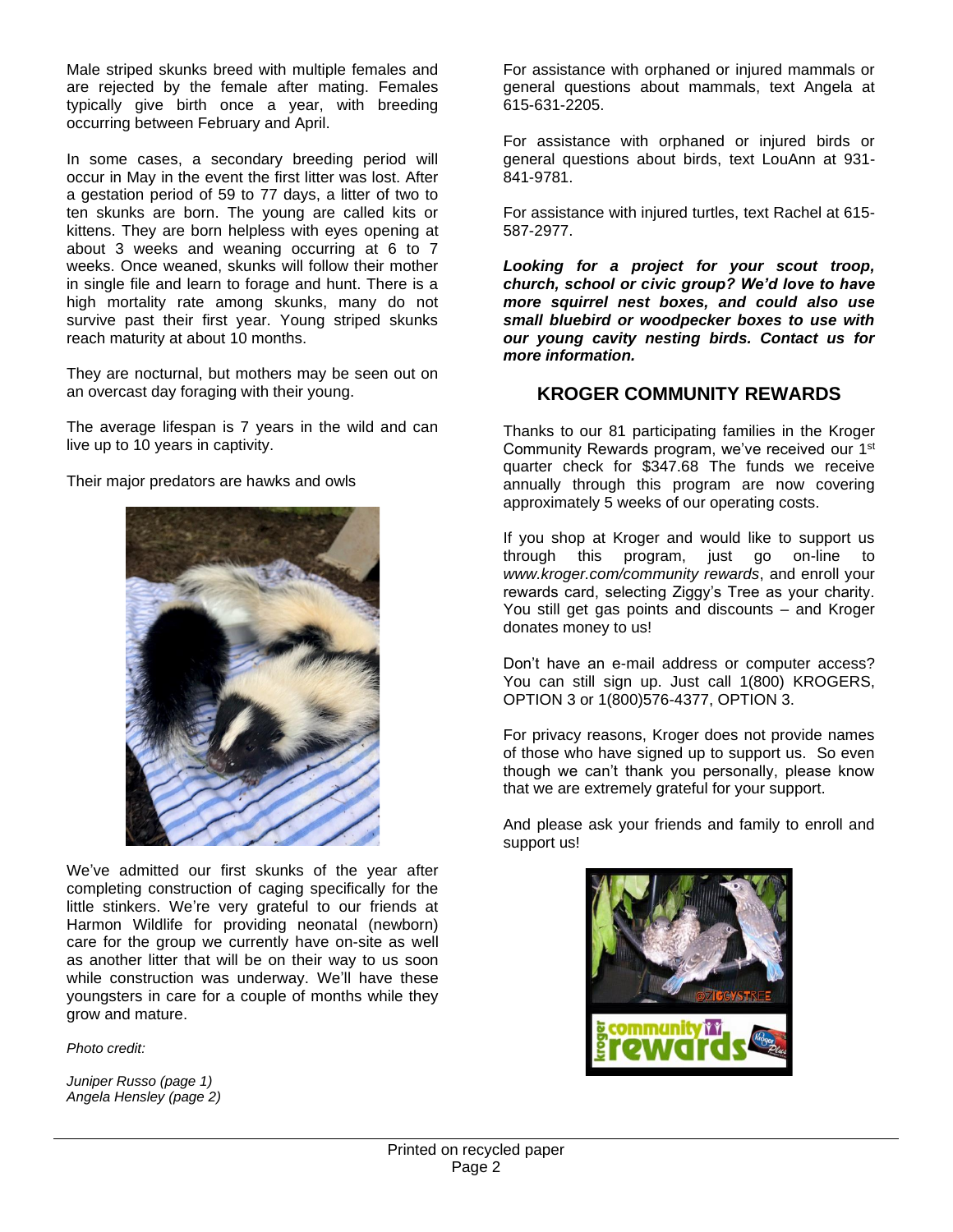Male striped skunks breed with multiple females and are rejected by the female after mating. Females typically give birth once a year, with breeding occurring between February and April.

In some cases, a secondary breeding period will occur in May in the event the first litter was lost. After a gestation period of 59 to 77 days, a litter of two to ten skunks are born. The young are called kits or kittens. They are born helpless with eyes opening at about 3 weeks and weaning occurring at 6 to 7 weeks. Once weaned, skunks will follow their mother in single file and learn to forage and hunt. There is a high mortality rate among skunks, many do not survive past their first year. Young striped skunks reach maturity at about 10 months.

They are nocturnal, but mothers may be seen out on an overcast day foraging with their young.

The average lifespan is 7 years in the wild and can live up to 10 years in captivity.

Their major predators are hawks and owls



We've admitted our first skunks of the year after completing construction of caging specifically for the little stinkers. We're very grateful to our friends at Harmon Wildlife for providing neonatal (newborn) care for the group we currently have on-site as well as another litter that will be on their way to us soon while construction was underway. We'll have these youngsters in care for a couple of months while they grow and mature.

*Photo credit:*

*Juniper Russo (page 1) Angela Hensley (page 2)*

For assistance with orphaned or injured mammals or general questions about mammals, text Angela at 615-631-2205.

For assistance with orphaned or injured birds or general questions about birds, text LouAnn at 931- 841-9781.

For assistance with injured turtles, text Rachel at 615- 587-2977.

*Looking for a project for your scout troop, church, school or civic group? We'd love to have more squirrel nest boxes, and could also use small bluebird or woodpecker boxes to use with our young cavity nesting birds. Contact us for more information.*

#### **KROGER COMMUNITY REWARDS**

Thanks to our 81 participating families in the Kroger Community Rewards program, we've received our 1<sup>st</sup> quarter check for \$347.68 The funds we receive annually through this program are now covering approximately 5 weeks of our operating costs.

If you shop at Kroger and would like to support us through this program, just go on-line to *www.kroger.com/community rewards*, and enroll your rewards card, selecting Ziggy's Tree as your charity. You still get gas points and discounts – and Kroger donates money to us!

Don't have an e-mail address or computer access? You can still sign up. Just call 1(800) KROGERS, OPTION 3 or 1(800)576-4377, OPTION 3.

For privacy reasons, Kroger does not provide names of those who have signed up to support us. So even though we can't thank you personally, please know that we are extremely grateful for your support.

And please ask your friends and family to enroll and support us!

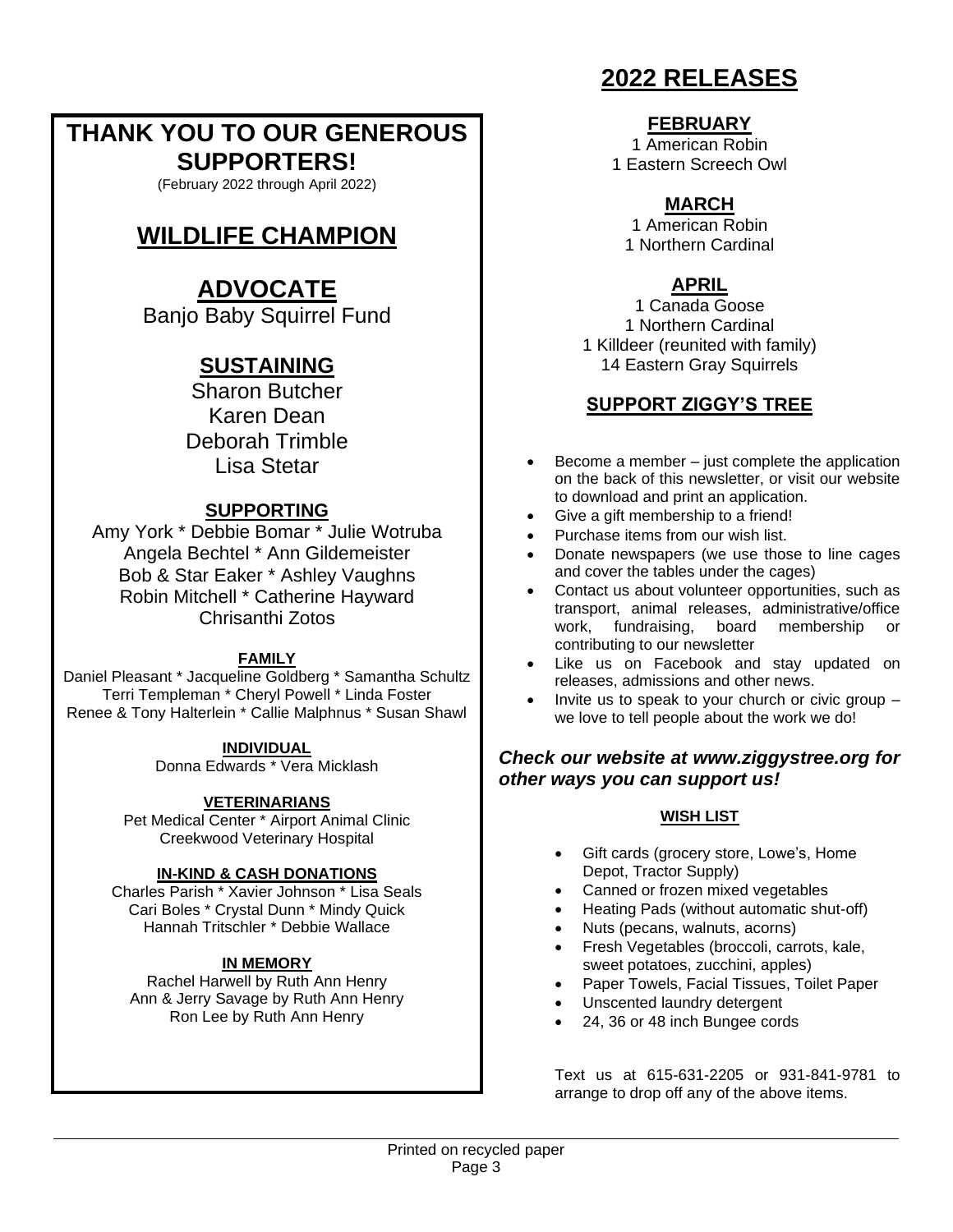# **THANK YOU TO OUR GENEROUS SUPPORTERS!**

(February 2022 through April 2022)

# **WILDLIFE CHAMPION**

# **ADVOCATE**

Banjo Baby Squirrel Fund

## **SUSTAINING**

Sharon Butcher Karen Dean Deborah Trimble Lisa Stetar

### **SUPPORTING**

Amy York \* Debbie Bomar \* Julie Wotruba Angela Bechtel \* Ann Gildemeister Bob & Star Eaker \* Ashley Vaughns Robin Mitchell \* Catherine Hayward Chrisanthi Zotos

#### **FAMILY**

Daniel Pleasant \* Jacqueline Goldberg \* Samantha Schultz Terri Templeman \* Cheryl Powell \* Linda Foster Renee & Tony Halterlein \* Callie Malphnus \* Susan Shawl

#### **INDIVIDUAL**

Donna Edwards \* Vera Micklash

#### **VETERINARIANS**

Pet Medical Center \* Airport Animal Clinic Creekwood Veterinary Hospital

#### **IN-KIND & CASH DONATIONS**

Charles Parish \* Xavier Johnson \* Lisa Seals Cari Boles \* Crystal Dunn \* Mindy Quick Hannah Tritschler \* Debbie Wallace

### **IN MEMORY**

Rachel Harwell by Ruth Ann Henry Ann & Jerry Savage by Ruth Ann Henry Ron Lee by Ruth Ann Henry

# **2022 RELEASES**

#### **FEBRUARY**

1 American Robin 1 Eastern Screech Owl

### **MARCH**

1 American Robin 1 Northern Cardinal

### **APRIL**

1 Canada Goose 1 Northern Cardinal 1 Killdeer (reunited with family) 14 Eastern Gray Squirrels

### **SUPPORT ZIGGY'S TREE**

- Become a member just complete the application on the back of this newsletter, or visit our website to download and print an application.
- Give a gift membership to a friend!
- Purchase items from our wish list.
- Donate newspapers (we use those to line cages and cover the tables under the cages)
- Contact us about volunteer opportunities, such as transport, animal releases, administrative/office work, fundraising, board membership or contributing to our newsletter
- Like us on Facebook and stay updated on releases, admissions and other news.
- Invite us to speak to your church or civic group we love to tell people about the work we do!

### *Check our website at www.ziggystree.org for other ways you can support us!*

#### **WISH LIST**

- Gift cards (grocery store, Lowe's, Home Depot, Tractor Supply)
- Canned or frozen mixed vegetables
- Heating Pads (without automatic shut-off)
- Nuts (pecans, walnuts, acorns)
- Fresh Vegetables (broccoli, carrots, kale, sweet potatoes, zucchini, apples)
- Paper Towels, Facial Tissues, Toilet Paper
- Unscented laundry detergent
- 24, 36 or 48 inch Bungee cords

Text us at 615-631-2205 or 931-841-9781 to arrange to drop off any of the above items.